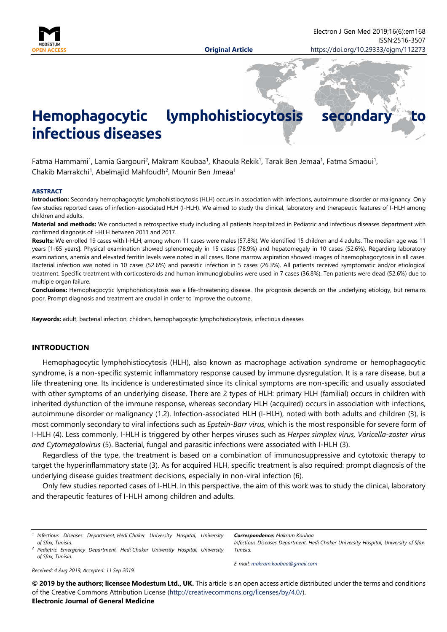

# **Hemophagocytic lymphohistiocytosis secondar infectious diseases**

Fatma Hammami<sup>1</sup>, Lamia Gargouri<sup>2</sup>, Makram Koubaa<sup>1</sup>, Khaoula Rekik<sup>1</sup>, Tarak Ben Jemaa<sup>1</sup>, Fatma Smaoui<sup>1</sup>, Chakib Marrakchi<sup>1</sup>, Abelmajid Mahfoudh<sup>2</sup>, Mounir Ben Jmeaa<sup>1</sup>

#### **ABSTRACT**

**Introduction:** Secondary hemophagocytic lymphohistiocytosis (HLH) occurs in association with infections, autoimmune disorder or malignancy. Only few studies reported cases of infection-associated HLH (I-HLH). We aimed to study the clinical, laboratory and therapeutic features of I-HLH among children and adults.

**Material and methods:** We conducted a retrospective study including all patients hospitalized in Pediatric and infectious diseases department with confirmed diagnosis of I-HLH between 2011 and 2017.

**Results:** We enrolled 19 cases with I-HLH, among whom 11 cases were males (57.8%). We identified 15 children and 4 adults. The median age was 11 years [1-65 years]. Physical examination showed splenomegaly in 15 cases (78.9%) and hepatomegaly in 10 cases (52.6%). Regarding laboratory examinations, anemia and elevated ferritin levels were noted in all cases. Bone marrow aspiration showed images of haemophagocytosis in all cases. Bacterial infection was noted in 10 cases (52.6%) and parasitic infection in 5 cases (26.3%). All patients received symptomatic and/or etiological treatment. Specific treatment with corticosteroids and human immunoglobulins were used in 7 cases (36.8%). Ten patients were dead (52.6%) due to multiple organ failure.

**Conclusions:** Hemophagocytic lymphohistiocytosis was a life-threatening disease. The prognosis depends on the underlying etiology, but remains poor. Prompt diagnosis and treatment are crucial in order to improve the outcome.

**Keywords:** adult, bacterial infection, children, hemophagocytic lymphohistiocytosis, infectious diseases

## **INTRODUCTION**

Hemophagocytic lymphohistiocytosis (HLH), also known as macrophage activation syndrome or hemophagocytic syndrome, is a non-specific systemic inflammatory response caused by immune dysregulation. It is a rare disease, but a life threatening one. Its incidence is underestimated since its clinical symptoms are non-specific and usually associated with other symptoms of an underlying disease. There are 2 types of HLH: primary HLH (familial) occurs in children with inherited dysfunction of the immune response, whereas secondary HLH (acquired) occurs in association with infections, autoimmune disorder or malignancy (1,2). Infection-associated HLH (I-HLH), noted with both adults and children (3), is most commonly secondary to viral infections such as *Epstein-Barr virus*, which is the most responsible for severe form of I-HLH (4). Less commonly, I-HLH is triggered by other herpes viruses such as *Herpes simplex virus, Varicella-zoster virus and Cytomegalovirus* (5). Bacterial, fungal and parasitic infections were associated with I-HLH (3).

Regardless of the type, the treatment is based on a combination of immunosuppressive and cytotoxic therapy to target the hyperinflammatory state (3). As for acquired HLH, specific treatment is also required: prompt diagnosis of the underlying disease guides treatment decisions, especially in non-viral infection (6).

Only few studies reported cases of I-HLH. In this perspective, the aim of this work was to study the clinical, laboratory and therapeutic features of I-HLH among children and adults.

*<sup>1</sup> Infectious Diseases Department, Hedi Chaker University Hospital, University of Sfax, Tunisia.*

*Correspondence: Makram Koubaa*

*Infectious Diseases Department, Hedi Chaker University Hospital, University of Sfax, Tunisia.*

*<sup>2</sup> Pediatric Emergency Department, Hedi Chaker University Hospital, University of Sfax, Tunisia.*

*E-mail: [makram.koubaa@gmail.com](mailto:makram.koubaa@gmail.com)*

*Received: 4 Aug 2019, Accepted: 11 Sep 2019*

**© 2019 by the authors; licensee Modestum Ltd., UK.** This article is an open access article distributed under the terms and conditions of the Creative Commons Attribution License [\(http://creativecommons.org/licenses/by/4.0/\)](http://creativecommons.org/licenses/by/4.0/). **Electronic Journal of General Medicine**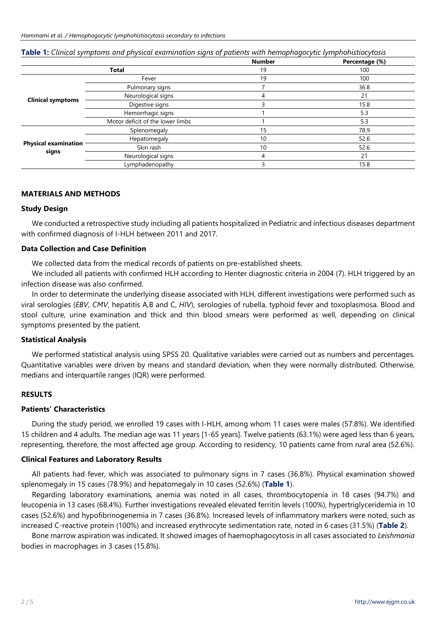|                                      |                                  | <b>Number</b> | Percentage (%) |
|--------------------------------------|----------------------------------|---------------|----------------|
| <b>Total</b>                         |                                  | 19            | 100            |
| <b>Clinical symptoms</b>             | Fever                            | 19            | 100            |
|                                      | Pulmonary signs                  |               | 36.8           |
|                                      | Neurological signs               | 4             | 21             |
|                                      | Digestive signs                  |               | 15.8           |
|                                      | Hemorrhagic signs                |               | 5.3            |
|                                      | Motor deficit of the lower limbs |               | 5.3            |
| <b>Physical examination</b><br>signs | Splenomegaly                     | 15            | 78.9           |
|                                      | Hepatomegaly                     | 10            | 52.6           |
|                                      | Skin rash                        | 10            | 52.6           |
|                                      | Neurological signs               | 4             | 21             |
|                                      | Lymphadenopathy                  | 3             | 15.8           |

**Table 1:** *Clinical symptoms and physical examination signs of patients with hemophagocytic lymphohistiocytosis*

# **MATERIALS AND METHODS**

## **Study Design**

We conducted a retrospective study including all patients hospitalized in Pediatric and infectious diseases department with confirmed diagnosis of I-HLH between 2011 and 2017.

## **Data Collection and Case Definition**

We collected data from the medical records of patients on pre-established sheets.

We included all patients with confirmed HLH according to Henter diagnostic criteria in 2004 (7). HLH triggered by an infection disease was also confirmed.

In order to determinate the underlying disease associated with HLH, different investigations were performed such as viral serologies (*EBV*, *CMV*, hepatitis A,B and C, *HIV*), serologies of rubella, typhoid fever and toxoplasmosa. Blood and stool culture, urine examination and thick and thin blood smears were performed as well, depending on clinical symptoms presented by the patient.

## **Statistical Analysis**

We performed statistical analysis using SPSS 20. Qualitative variables were carried out as numbers and percentages. Quantitative variables were driven by means and standard deviation, when they were normally distributed. Otherwise, medians and interquartile ranges (IQR) were performed.

## **RESULTS**

# **Patients' Characteristics**

During the study period, we enrolled 19 cases with I-HLH, among whom 11 cases were males (57.8%). We identified 15 children and 4 adults. The median age was 11 years [1-65 years]. Twelve patients (63.1%) were aged less than 6 years, representing, therefore, the most affected age group. According to residency, 10 patients came from rural area (52.6%).

## **Clinical Features and Laboratory Results**

All patients had fever, which was associated to pulmonary signs in 7 cases (36.8%). Physical examination showed splenomegaly in 15 cases (78.9%) and hepatomegaly in 10 cases (52.6%) (**Table 1**).

Regarding laboratory examinations, anemia was noted in all cases, thrombocytopenia in 18 cases (94.7%) and leucopenia in 13 cases (68.4%). Further investigations revealed elevated ferritin levels (100%), hypertriglyceridemia in 10 cases (52.6%) and hypofibrinogenemia in 7 cases (36.8%). Increased levels of inflammatory markers were noted, such as increased C-reactive protein (100%) and increased erythrocyte sedimentation rate, noted in 6 cases (31.5%) (**Table 2**).

Bone marrow aspiration was indicated. It showed images of haemophagocytosis in all cases associated to *Leishmania* bodies in macrophages in 3 cases (15.8%).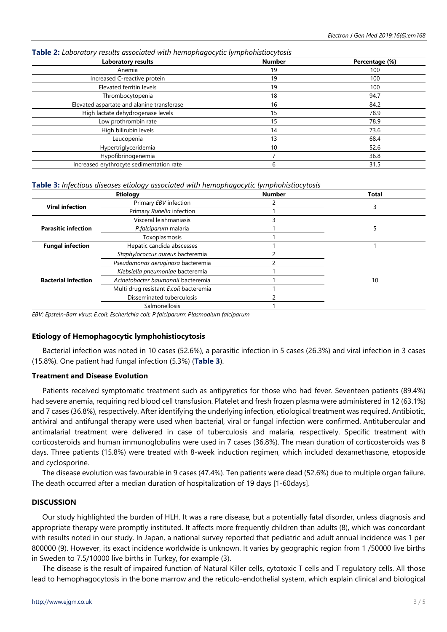| Laboratory results                         | <b>Number</b> | Percentage (%) |
|--------------------------------------------|---------------|----------------|
| Anemia                                     | 19            | 100            |
| Increased C-reactive protein               | 19            | 100            |
| Elevated ferritin levels                   | 19            | 100            |
| Thrombocytopenia                           | 18            | 94.7           |
| Elevated aspartate and alanine transferase | 16            | 84.2           |
| High lactate dehydrogenase levels          | 15            | 78.9           |
| Low prothrombin rate                       | 15            | 78.9           |
| High bilirubin levels                      | 14            | 73.6           |
| Leucopenia                                 | 13            | 68.4           |
| Hypertriglyceridemia                       | 10            | 52.6           |
| Hypofibrinogenemia                         |               | 36.8           |
| Increased erythrocyte sedimentation rate   | 6             | 31.5           |

#### **Table 2:** *Laboratory results associated with hemophagocytic lymphohistiocytosis*

**Table 3:** *Infectious diseases etiology associated with hemophagocytic lymphohistiocytosis*

| <b>Etiology</b>            |                                        | <b>Number</b> | <b>Total</b> |
|----------------------------|----------------------------------------|---------------|--------------|
| <b>Viral infection</b>     | Primary EBV infection                  |               |              |
|                            | Primary Rubella infection              |               |              |
| <b>Parasitic infection</b> | Visceral leishmaniasis                 |               |              |
|                            | P.falciparum malaria                   |               |              |
|                            | Toxoplasmosis                          |               |              |
| <b>Fungal infection</b>    | Hepatic candida abscesses              |               |              |
| <b>Bacterial infection</b> | Staphylococcus aureus bacteremia       |               |              |
|                            | Pseudomonas aeruginosa bacteremia      |               |              |
|                            | Klebsiella pneumoniae bacteremia       |               |              |
|                            | Acinetobacter baumannii bacteremia     |               | 10           |
|                            | Multi drug resistant E.coli bacteremia |               |              |
|                            | Disseminated tuberculosis              |               |              |
|                            | Salmonellosis                          |               |              |

*EBV: Epstein-Barr virus*; *E.coli: Escherichia coli*; *P.falciparum: Plasmodium falciparum*

## **Etiology of Hemophagocytic lymphohistiocytosis**

Bacterial infection was noted in 10 cases (52.6%), a parasitic infection in 5 cases (26.3%) and viral infection in 3 cases (15.8%). One patient had fungal infection (5.3%) (**Table 3**).

## **Treatment and Disease Evolution**

Patients received symptomatic treatment such as antipyretics for those who had fever. Seventeen patients (89.4%) had severe anemia, requiring red blood cell transfusion. Platelet and fresh frozen plasma were administered in 12 (63.1%) and 7 cases (36.8%), respectively. After identifying the underlying infection, etiological treatment was required. Antibiotic, antiviral and antifungal therapy were used when bacterial, viral or fungal infection were confirmed. Antitubercular and antimalarial treatment were delivered in case of tuberculosis and malaria, respectively. Specific treatment with corticosteroids and human immunoglobulins were used in 7 cases (36.8%). The mean duration of corticosteroids was 8 days. Three patients (15.8%) were treated with 8-week induction regimen, which included dexamethasone, etoposide and cyclosporine.

The disease evolution was favourable in 9 cases (47.4%). Ten patients were dead (52.6%) due to multiple organ failure. The death occurred after a median duration of hospitalization of 19 days [1-60days].

## **DISCUSSION**

Our study highlighted the burden of HLH. It was a rare disease, but a potentially fatal disorder, unless diagnosis and appropriate therapy were promptly instituted. It affects more frequently children than adults (8), which was concordant with results noted in our study. In Japan, a national survey reported that pediatric and adult annual incidence was 1 per 800000 (9). However, its exact incidence worldwide is unknown. It varies by geographic region from 1 /50000 live births in Sweden to 7.5/10000 live births in Turkey, for example (3).

The disease is the result of impaired function of Natural Killer cells, cytotoxic T cells and T regulatory cells. All those lead to hemophagocytosis in the bone marrow and the reticulo-endothelial system, which explain clinical and biological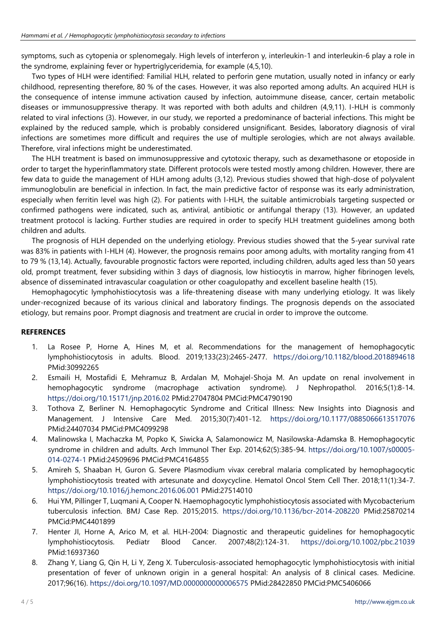symptoms, such as cytopenia or splenomegaly. High levels of interferon γ, interleukin-1 and interleukin-6 play a role in the syndrome, explaining fever or hypertriglyceridemia, for example (4,5,10).

Two types of HLH were identified: Familial HLH, related to perforin gene mutation, usually noted in infancy or early childhood, representing therefore, 80 % of the cases. However, it was also reported among adults. An acquired HLH is the consequence of intense immune activation caused by infection, autoimmune disease, cancer, certain metabolic diseases or immunosuppressive therapy. It was reported with both adults and children (4,9,11). I-HLH is commonly related to viral infections (3). However, in our study, we reported a predominance of bacterial infections. This might be explained by the reduced sample, which is probably considered unsignificant. Besides, laboratory diagnosis of viral infections are sometimes more difficult and requires the use of multiple serologies, which are not always available. Therefore, viral infections might be underestimated.

The HLH treatment is based on immunosuppressive and cytotoxic therapy, such as dexamethasone or etoposide in order to target the hyperinflammatory state. Different protocols were tested mostly among children. However, there are few data to guide the management of HLH among adults (3,12). Previous studies showed that high-dose of polyvalent immunoglobulin are beneficial in infection. In fact, the main predictive factor of response was its early administration, especially when ferritin level was high (2). For patients with I-HLH, the suitable antimicrobials targeting suspected or confirmed pathogens were indicated, such as, antiviral, antibiotic or antifungal therapy (13). However, an updated treatment protocol is lacking. Further studies are required in order to specify HLH treatment guidelines among both children and adults.

The prognosis of HLH depended on the underlying etiology. Previous studies showed that the 5-year survival rate was 83% in patients with I-HLH (4). However, the prognosis remains poor among adults, with mortality ranging from 41 to 79 % (13,14). Actually, favourable prognostic factors were reported, including children, adults aged less than 50 years old, prompt treatment, fever subsiding within 3 days of diagnosis, low histiocytis in marrow, higher fibrinogen levels, absence of disseminated intravascular coagulation or other coagulopathy and excellent baseline health (15).

Hemophagocytic lymphohistiocytosis was a life-threatening disease with many underlying etiology. It was likely under-recognized because of its various clinical and laboratory findings. The prognosis depends on the associated etiology, but remains poor. Prompt diagnosis and treatment are crucial in order to improve the outcome.

# **REFERENCES**

- 1. La Rosee P, Horne A, Hines M, et al. Recommendations for the management of hemophagocytic lymphohistiocytosis in adults. Blood. 2019;133(23):2465-2477. <https://doi.org/10.1182/blood.2018894618> PMid:30992265
- 2. Esmaili H, Mostafidi E, Mehramuz B, Ardalan M, Mohajel-Shoja M. An update on renal involvement in hemophagocytic syndrome (macrophage activation syndrome). J Nephropathol. 2016;5(1):8-14. <https://doi.org/10.15171/jnp.2016.02> PMid:27047804 PMCid:PMC4790190
- 3. Tothova Z, Berliner N. Hemophagocytic Syndrome and Critical Illness: New Insights into Diagnosis and Management. J Intensive Care Med. 2015;30(7):401-12. <https://doi.org/10.1177/0885066613517076> PMid:24407034 PMCid:PMC4099298
- 4. Malinowska I, Machaczka M, Popko K, Siwicka A, Salamonowicz M, Nasilowska-Adamska B. Hemophagocytic syndrome in children and adults. Arch Immunol Ther Exp. 2014;62(5):385-94. [https://doi.org/10.1007/s00005-](https://doi.org/10.1007/s00005-014-0274-1) [014-0274-1](https://doi.org/10.1007/s00005-014-0274-1) PMid:24509696 PMCid:PMC4164855
- 5. Amireh S, Shaaban H, Guron G. Severe Plasmodium vivax cerebral malaria complicated by hemophagocytic lymphohistiocytosis treated with artesunate and doxycycline. Hematol Oncol Stem Cell Ther. 2018;11(1):34-7. <https://doi.org/10.1016/j.hemonc.2016.06.001> PMid:27514010
- 6. Hui YM, Pillinger T, Luqmani A, Cooper N. Haemophagocytic lymphohistiocytosis associated with Mycobacterium tuberculosis infection. BMJ Case Rep. 2015;2015. <https://doi.org/10.1136/bcr-2014-208220> PMid:25870214 PMCid:PMC4401899
- 7. Henter JI, Horne A, Arico M, et al. HLH-2004: Diagnostic and therapeutic guidelines for hemophagocytic lymphohistiocytosis. Pediatr Blood Cancer. 2007;48(2):124-31. <https://doi.org/10.1002/pbc.21039> PMid:16937360
- 8. Zhang Y, Liang G, Qin H, Li Y, Zeng X. Tuberculosis-associated hemophagocytic lymphohistiocytosis with initial presentation of fever of unknown origin in a general hospital: An analysis of 8 clinical cases. Medicine. 2017;96(16). <https://doi.org/10.1097/MD.0000000000006575> PMid:28422850 PMCid:PMC5406066